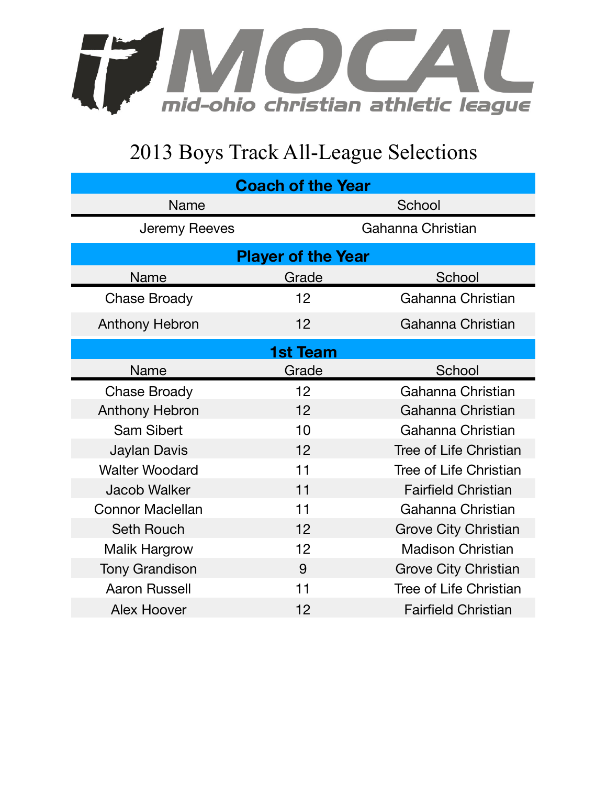

## 2013 Boys Track All-League Selections

| <b>Coach of the Year</b>  |       |                               |  |
|---------------------------|-------|-------------------------------|--|
| <b>Name</b>               |       | School                        |  |
| Jeremy Reeves             |       | Gahanna Christian             |  |
| <b>Player of the Year</b> |       |                               |  |
| Name                      | Grade | School                        |  |
| Chase Broady              | 12    | Gahanna Christian             |  |
| <b>Anthony Hebron</b>     | 12    | Gahanna Christian             |  |
| <b>1st Team</b>           |       |                               |  |
| Name                      | Grade | School                        |  |
| <b>Chase Broady</b>       | 12    | Gahanna Christian             |  |
| <b>Anthony Hebron</b>     | 12    | Gahanna Christian             |  |
| <b>Sam Sibert</b>         | 10    | Gahanna Christian             |  |
| Jaylan Davis              | 12    | Tree of Life Christian        |  |
| <b>Walter Woodard</b>     | 11    | Tree of Life Christian        |  |
| <b>Jacob Walker</b>       | 11    | <b>Fairfield Christian</b>    |  |
| <b>Connor Maclellan</b>   | 11    | Gahanna Christian             |  |
| <b>Seth Rouch</b>         | 12    | <b>Grove City Christian</b>   |  |
| <b>Malik Hargrow</b>      | 12    | <b>Madison Christian</b>      |  |
| <b>Tony Grandison</b>     | 9     | <b>Grove City Christian</b>   |  |
| <b>Aaron Russell</b>      | 11    | <b>Tree of Life Christian</b> |  |
| Alex Hoover               | 12    | <b>Fairfield Christian</b>    |  |